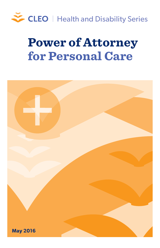

# **Power of Attorney for Personal Care**

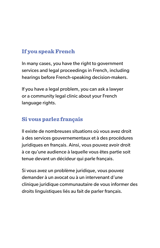# **If you speak French**

In many cases, you have the right to government services and legal proceedings in French, including hearings before French-speaking decision-makers.

If you have a legal problem, you can ask a lawyer or a community legal clinic about your French language rights.

# **Si vous parlez français**

Il existe de nombreuses situations où vous avez droit à des services gouvernementaux et à des procédures juridiques en français. Ainsi, vous pouvez avoir droit à ce qu'une audience à laquelle vous êtes partie soit tenue devant un décideur qui parle français.

Si vous avez un problème juridique, vous pouvez demander à un avocat ou à un intervenant d'une clinique juridique communautaire de vous informer des droits linguistiques liés au fait de parler français.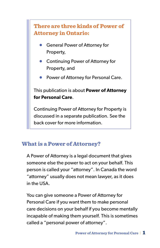# **There are three kinds of Power of Attorney in Ontario:**

- **General Power of Attorney for** Property,
- Continuing Power of Attorney for Property, and
- Power of Attorney for Personal Care.

#### This publication is about **Power of Attorney for Personal Care**.

Continuing Power of Attorney for Property is discussed in a separate publication. See the back cover for more information.

# **What is a Power of Attorney?**

A Power of Attorney is a legal document that gives someone else the power to act on your behalf. This person is called your "attorney". In Canada the word "attorney" usually does not mean lawyer, as it does in the USA.

You can give someone a Power of Attorney for Personal Care if you want them to make personal care decisions on your behalf if you become mentally incapable of making them yourself. This is sometimes called a "personal power of attorney".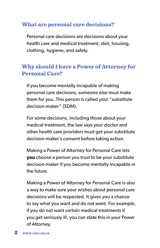#### **What are personal care decisions?**

Personal care decisions are decisions about your health care and medical treatment, diet, housing, clothing, hygiene, and safety.

# **Why should I have a Power of Attorney for Personal Care?**

If you become mentally incapable of making personal care decisions, someone else must make them for you. This person is called your "substitute decision-maker" (SDM).

For some decisions, including those about your medical treatment, the law says your doctor and other health care providers must get your substitute decision-maker's consent before taking action.

Making a Power of Attorney for Personal Care lets **you** choose a person you trust to be your substitute decision-maker if you become mentally incapable in the future.

Making a Power of Attorney for Personal Care is also a way to make sure your wishes about personal care decisions will be respected. It gives you a chance to say what you want and do not want. For example, if you do not want certain medical treatments if you get seriously ill, you can state this in your Power of Attorney.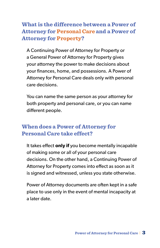**What is the difference between a Power of Attorney for Personal Care and a Power of Attorney for Property?**

A Continuing Power of Attorney for Property or a General Power of Attorney for Property gives your attorney the power to make decisions about your finances, home, and possessions. A Power of Attorney for Personal Care deals only with personal care decisions.

You can name the same person as your attorney for both property and personal care, or you can name different people.

#### **When does a Power of Attorney for Personal Care take effect?**

It takes effect **only if** you become mentally incapable of making some or all of your personal care decisions. On the other hand, a Continuing Power of Attorney for Property comes into effect as soon as it is signed and witnessed, unless you state otherwise.

Power of Attorney documents are often kept in a safe place to use only in the event of mental incapacity at a later date.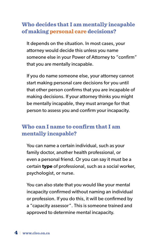# **Who decides that I am mentally incapable of making personal care decisions?**

It depends on the situation. In most cases, your attorney would decide this unless you name someone else in your Power of Attorney to "confirm" that you are mentally incapable.

If you do name someone else, your attorney cannot start making personal care decisions for you until that other person confirms that you are incapable of making decisions. If your attorney thinks you might be mentally incapable, they must arrange for that person to assess you and confirm your incapacity.

# **Who can I name to confirm that I am mentally incapable?**

You can name a certain individual, such as your family doctor, another health professional, or even a personal friend. Or you can say it must be a certain **type** of professional, such as a social worker, psychologist, or nurse.

You can also state that you would like your mental incapacity confirmed without naming an individual or profession. If you do this, it will be confirmed by a "capacity assessor". This is someone trained and approved to determine mental incapacity.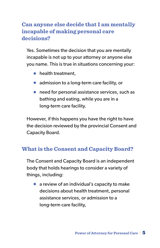# **Can anyone else decide that I am mentally incapable of making personal care decisions?**

Yes. Sometimes the decision that you are mentally incapable is not up to your attorney or anyone else you name. This is true in situations concerning your:

- health treatment,
- admission to a long-term care facility, or
- need for personal assistance services, such as bathing and eating, while you are in a long-term care facility.

However, if this happens you have the right to have the decision reviewed by the provincial Consent and Capacity Board.

# **What is the Consent and Capacity Board?**

The Consent and Capacity Board is an independent body that holds hearings to consider a variety of things, including:

● a review of an individual's capacity to make decisions about health treatment, personal assistance services, or admission to a long-term care facility,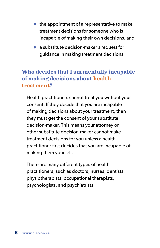- $\bullet$  the appointment of a representative to make treatment decisions for someone who is incapable of making their own decisions, and
- a substitute decision-maker's request for guidance in making treatment decisions.

# **Who decides that I am mentally incapable of making decisions about health treatment?**

Health practitioners cannot treat you without your consent. If they decide that you are incapable of making decisions about your treatment, then they must get the consent of your substitute decision-maker. This means your attorney or other substitute decision-maker cannot make treatment decisions for you unless a health practitioner first decides that you are incapable of making them yourself.

There are many different types of health practitioners, such as doctors, nurses, dentists, physiotherapists, occupational therapists, psychologists, and psychiatrists.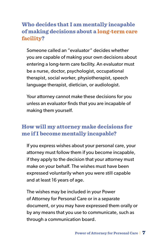# **Who decides that I am mentally incapable of making decisions about a long-term care facility?**

Someone called an "evaluator" decides whether you are capable of making your own decisions about entering a long-term care facility. An evaluator must be a nurse, doctor, psychologist, occupational therapist, social worker, physiotherapist, speech language therapist, dietician, or audiologist.

Your attorney cannot make these decisions for you unless an evaluator finds that you are incapable of making them yourself.

# **How will my attorney make decisions for me if I become mentally incapable?**

If you express wishes about your personal care, your attorney must follow them if you become incapable, if they apply to the decision that your attorney must make on your behalf. The wishes must have been expressed voluntarily when you were still capable and at least 16 years of age.

The wishes may be included in your Power of Attorney for Personal Care or in a separate document, or you may have expressed them orally or by any means that you use to communicate, such as through a communication board.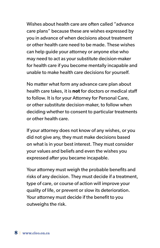Wishes about health care are often called "advance care plans" because these are wishes expressed by you in advance of when decisions about treatment or other health care need to be made. These wishes can help guide your attorney or anyone else who may need to act as your substitute decision-maker for health care if you become mentally incapable and unable to make health care decisions for yourself.

No matter what form any advance care plan about health care takes, it is **not** for doctors or medical staff to follow. It is for your Attorney for Personal Care, or other substitute decision-maker, to follow when deciding whether to consent to particular treatments or other health care.

If your attorney does not know of any wishes, or you did not give any, they must make decisions based on what is in your best interest. They must consider your values and beliefs and even the wishes you expressed after you became incapable.

Your attorney must weigh the probable benefits and risks of any decision. They must decide if a treatment, type of care, or course of action will improve your quality of life, or prevent or slow its deterioration. Your attorney must decide if the benefit to you outweighs the risk.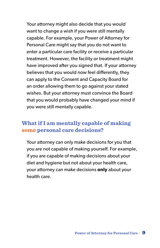Your attorney might also decide that you would want to change a wish if you were still mentally capable. For example, your Power of Attorney for Personal Care might say that you do not want to enter a particular care facility or receive a particular treatment. However, the facility or treatment might have improved after you signed that. If your attorney believes that you would now feel differently, they can apply to the Consent and Capacity Board for an order allowing them to go against your stated wishes. But your attorney must convince the Board that you would probably have changed your mind if you were still mentally capable.

#### **What if I am mentally capable of making some personal care decisions?**

Your attorney can only make decisions for you that you are not capable of making yourself. For example, if you are capable of making decisions about your diet and hygiene but not about your health care, your attorney can make decisions **only** about your health care.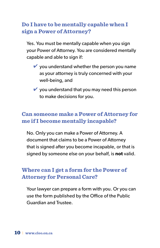# **Do I have to be mentally capable when I sign a Power of Attorney?**

Yes. You must be mentally capable when you sign your Power of Attorney. You are considered mentally capable and able to sign if:

- $\vee$  you understand whether the person you name as your attorney is truly concerned with your well-being, and
- $\vee$  you understand that you may need this person to make decisions for you.

#### **Can someone make a Power of Attorney for me if I become mentally incapable?**

No. Only you can make a Power of Attorney. A document that claims to be a Power of Attorney that is signed after you become incapable, or that is signed by someone else on your behalf, is **not** valid.

#### **Where can I get a form for the Power of Attorney for Personal Care?**

Your lawyer can prepare a form with you. Or you can use the form published by the Office of the Public Guardian and Trustee.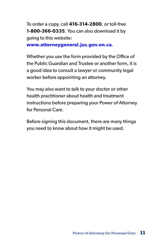To order a copy, call **416-314-2800**, or toll-free **1-800-366-0335**. You can also download it by going to this website:

**[www.attorneygeneral.jus.gov.on.ca](http://www.attorneygeneral.jus.gov.on.ca)**.

Whether you use the form provided by the Office of the Public Guardian and Trustee or another form, it is a good idea to consult a lawyer or community legal worker before appointing an attorney.

You may also want to talk to your doctor or other health practitioner about health and treatment instructions before preparing your Power of Attorney for Personal Care.

Before signing this document, there are many things you need to know about how it might be used.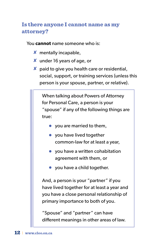# **Is there anyone I cannot name as my attorney?**

You **cannot** name someone who is:

- ✘ mentally incapable,
- ✘ under 16 years of age, or
- $\boldsymbol{\mathsf{X}}$  paid to give you health care or residential, social, support, or training services (unless this person is your spouse, partner, or relative).

When talking about Powers of Attorney for Personal Care, a person is your "spouse" if any of the following things are true:

- $\bullet$  you are married to them,
- you have lived together common-law for at least a year,
- you have a written cohabitation agreement with them, or
- you have a child together.

And, a person is your "partner" if you have lived together for at least a year and you have a close personal relationship of primary importance to both of you.

"Spouse" and "partner" can have different meanings in other areas of law.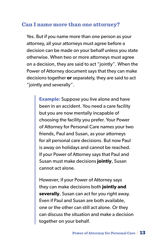#### **Can I name more than one attorney?**

Yes. But if you name more than one person as your attorney, all your attorneys must agree before a decision can be made on your behalf unless you state otherwise. When two or more attorneys must agree on a decision, they are said to act "jointly". When the Power of Attorney document says that they can make decisions together **or** separately, they are said to act "jointly and severally".

> **Example:** Suppose you live alone and have been in an accident. You need a care facility but you are now mentally incapable of choosing the facility you prefer. Your Power of Attorney for Personal Care names your two friends, Paul and Susan, as your attorneys for all personal care decisions. But now Paul is away on holidays and cannot be reached. If your Power of Attorney says that Paul and Susan must make decisions **jointly**, Susan cannot act alone.

> However, if your Power of Attorney says they can make decisions both **jointly and severally**, Susan can act for you right away. Even if Paul and Susan are both available, one or the other can still act alone. Or they can discuss the situation and make a decision together on your behalf.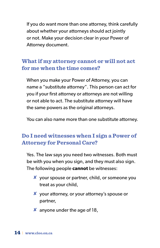If you do want more than one attorney, think carefully about whether your attorneys should act jointly or not. Make your decision clear in your Power of Attorney document.

# **What if my attorney cannot or will not act for me when the time comes?**

When you make your Power of Attorney, you can name a "substitute attorney". This person can act for you if your first attorney or attorneys are not willing or not able to act. The substitute attorney will have the same powers as the original attorneys.

You can also name more than one substitute attorney.

# **Do I need witnesses when I sign a Power of Attorney for Personal Care?**

Yes. The law says you need two witnesses. Both must be with you when you sign, and they must also sign. The following people **cannot** be witnesses:

- ✘ your spouse or partner, child, or someone you treat as your child,
- ✘ your attorney, or your attorney's spouse or partner,
- $x$  anyone under the age of 18,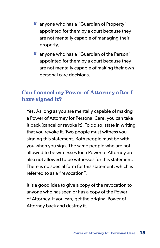- ✘ anyone who has a "Guardian of Property" appointed for them by a court because they are not mentally capable of managing their property,
- ✘ anyone who has a "Guardian of the Person" appointed for them by a court because they are not mentally capable of making their own personal care decisions.

# **Can I cancel my Power of Attorney after I have signed it?**

Yes. As long as you are mentally capable of making a Power of Attorney for Personal Care, you can take it back (cancel or revoke it). To do so, state in writing that you revoke it. Two people must witness you signing this statement. Both people must be with you when you sign. The same people who are not allowed to be witnesses for a Power of Attorney are also not allowed to be witnesses for this statement. There is no special form for this statement, which is referred to as a "revocation".

It is a good idea to give a copy of the revocation to anyone who has seen or has a copy of the Power of Attorney. If you can, get the original Power of Attorney back and destroy it.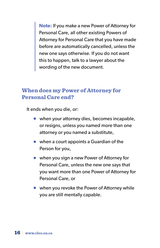**Note:** If you make a new Power of Attorney for Personal Care, all other existing Powers of Attorney for Personal Care that you have made before are automatically cancelled, unless the new one says otherwise. If you do not want this to happen, talk to a lawyer about the wording of the new document.

#### **When does my Power of Attorney for Personal Care end?**

It ends when you die, or:

- when your attorney dies, becomes incapable, or resigns, unless you named more than one attorney or you named a substitute,
- when a court appoints a Guardian of the Person for you,
- when you sign a new Power of Attorney for Personal Care, unless the new one says that you want more than one Power of Attorney for Personal Care, or
- when you revoke the Power of Attorney while you are still mentally capable.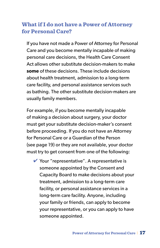# **What if I do not have a Power of Attorney for Personal Care?**

If you have not made a Power of Attorney for Personal Care and you become mentally incapable of making personal care decisions, the Health Care Consent Act allows other substitute decision-makers to make **some** of these decisions. These include decisions about health treatment, admission to a long-term care facility, and personal assistance services such as bathing. The other substitute decision-makers are usually family members.

For example, if you become mentally incapable of making a decision about surgery, your doctor must get your substitute decision-maker's consent before proceeding. If you do not have an Attorney for Personal Care or a Guardian of the Person (see page 19) or they are not available, your doctor must try to get consent from one of the following:

 $\vee$  Your "representative". A representative is someone appointed by the Consent and Capacity Board to make decisions about your treatment, admission to a long-term care facility, or personal assistance services in a long-term care facility. Anyone, including your family or friends, can apply to become your representative, or you can apply to have someone appointed.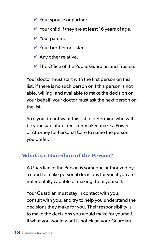- $\vee$  Your spouse or partner.
- $\vee$  Your child if they are at least 16 years of age.
- ✔ Your parent.
- ✔ Your brother or sister.
- $\blacktriangleright$  Any other relative.
- $\vee$  The Office of the Public Guardian and Trustee.

Your doctor must start with the first person on this list. If there is no such person or if this person is not able, willing, and available to make the decision on your behalf, your doctor must ask the next person on the list.

So if you do not want this list to determine who will be your substitute decision-maker, make a Power of Attorney for Personal Care to name the person you prefer.

#### **What is a Guardian of the Person?**

A Guardian of the Person is someone authorized by a court to make personal decisions for you if you are not mentally capable of making them yourself.

Your Guardian must stay in contact with you, consult with you, and try to help you understand the decisions they make for you. Their responsibility is to make the decisions you would make for yourself. If what you would want is not clear, your Guardian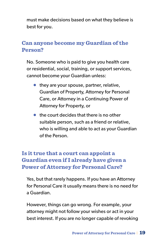must make decisions based on what they believe is best for you.

#### **Can anyone become my Guardian of the Person?**

No. Someone who is paid to give you health care or residential, social, training, or support services, cannot become your Guardian unless:

- they are your spouse, partner, relative, Guardian of Property, Attorney for Personal Care, or Attorney in a Continuing Power of Attorney for Property, or
- the court decides that there is no other suitable person, such as a friend or relative, who is willing and able to act as your Guardian of the Person.

# **Is it true that a court can appoint a Guardian even if I already have given a Power of Attorney for Personal Care?**

Yes, but that rarely happens. If you have an Attorney for Personal Care it usually means there is no need for a Guardian.

However, things can go wrong. For example, your attorney might not follow your wishes or act in your best interest. If you are no longer capable of revoking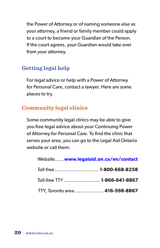the Power of Attorney or of naming someone else as your attorney, a friend or family member could apply to a court to become your Guardian of the Person. If the court agrees, your Guardian would take over from your attorney.

# **Getting legal help**

For legal advice or help with a Power of Attorney for Personal Care, contact a lawyer. Here are some places to try.

# **Community legal clinics**

Some community legal clinics may be able to give you free legal advice about your Continuing Power of Attorney for Personal Care. To find the clinic that serves your area, you can go to the Legal Aid Ontario website or call them:

| Website www.legalaid.on.ca/en/contact |  |
|---------------------------------------|--|
| Toll-free  1-800-668-8258             |  |
| Toll-free TTY  1-866-641-8867         |  |
| TTY, Toronto area 416-598-8867        |  |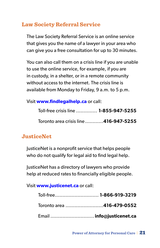# **Law Society Referral Service**

The Law Society Referral Service is an online service that gives you the name of a lawyer in your area who can give you a free consultation for up to 30 minutes.

You can also call them on a crisis line if you are unable to use the online service, for example, if you are in custody, in a shelter, or in a remote community without access to the internet. The crisis line is available from Monday to Friday, 9 a.m. to 5 p.m.

#### Visit **[www.findlegalhelp.ca](http://www.lawsocietyreferralservice.ca)** or call:

| Toll-free crisis line  1-855-947-5255 |  |
|---------------------------------------|--|
| Toronto area crisis line 416-947-5255 |  |

# **JusticeNet**

JusticeNet is a nonprofit service that helps people who do not qualify for legal aid to find legal help.

JusticeNet has a directory of lawyers who provide help at reduced rates to financially eligible people.

Visit **[www.justicenet.ca](http://www.justicenet.ca)** or call:

| Toll-free 1-866-919-3219  |  |
|---------------------------|--|
| Toronto area 416-479-0552 |  |
| Email  info@justicenet.ca |  |